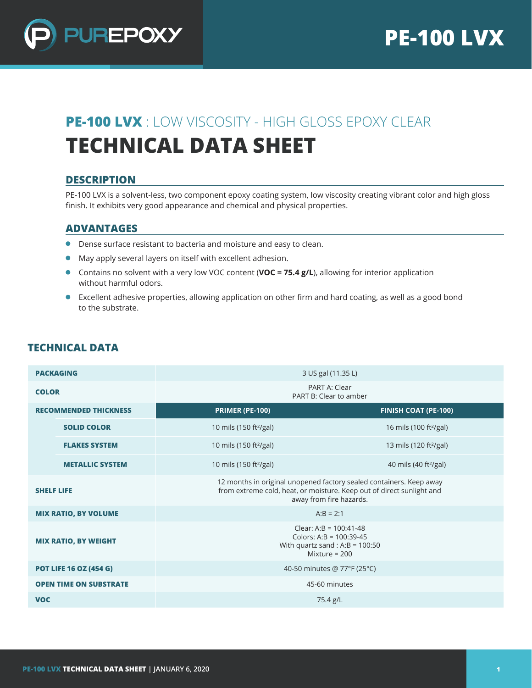

# **PE-100 LVX** : LOW VISCOSITY - HIGH GLOSS EPOXY CLEAR **TECHNICAL DATA SHEET**

## **DESCRIPTION**

PE-100 LVX is a solvent-less, two component epoxy coating system, low viscosity creating vibrant color and high gloss finish. It exhibits very good appearance and chemical and physical properties.

## **ADVANTAGES**

- Dense surface resistant to bacteria and moisture and easy to clean.
- May apply several layers on itself with excellent adhesion.
- **Contains no solvent with a very low VOC content (VOC = 75.4 g/L), allowing for interior application** without harmful odors.
- Excellent adhesive properties, allowing application on other firm and hard coating, as well as a good bond to the substrate.

| <b>PACKAGING</b>              |                        | 3 US gal (11.35 L)                                                                                                                                                      |                                    |  |  |  |
|-------------------------------|------------------------|-------------------------------------------------------------------------------------------------------------------------------------------------------------------------|------------------------------------|--|--|--|
| <b>COLOR</b>                  |                        | PART A: Clear<br>PART B: Clear to amber                                                                                                                                 |                                    |  |  |  |
| <b>RECOMMENDED THICKNESS</b>  |                        | <b>PRIMER (PE-100)</b>                                                                                                                                                  | <b>FINISH COAT (PE-100)</b>        |  |  |  |
|                               | <b>SOLID COLOR</b>     | 10 mils (150 ft <sup>2</sup> /gal)                                                                                                                                      | 16 mils (100 ft <sup>2</sup> /gal) |  |  |  |
|                               | <b>FLAKES SYSTEM</b>   | 10 mils (150 ft <sup>2</sup> /gal)                                                                                                                                      | 13 mils (120 ft <sup>2</sup> /gal) |  |  |  |
|                               | <b>METALLIC SYSTEM</b> | 10 mils (150 ft <sup>2</sup> /gal)                                                                                                                                      | 40 mils (40 ft <sup>2</sup> /gal)  |  |  |  |
| <b>SHELF LIFE</b>             |                        | 12 months in original unopened factory sealed containers. Keep away<br>from extreme cold, heat, or moisture. Keep out of direct sunlight and<br>away from fire hazards. |                                    |  |  |  |
| <b>MIX RATIO, BY VOLUME</b>   |                        | $A:B = 2:1$                                                                                                                                                             |                                    |  |  |  |
| <b>MIX RATIO, BY WEIGHT</b>   |                        | Clear: A:B = $100:41-48$<br>Colors: A:B = 100:39-45<br>With quartz sand : A:B = $100:50$<br>Mixture = $200$                                                             |                                    |  |  |  |
| <b>POT LIFE 16 OZ (454 G)</b> |                        | 40-50 minutes @ 77°F (25°C)                                                                                                                                             |                                    |  |  |  |
| <b>OPEN TIME ON SUBSTRATE</b> |                        | 45-60 minutes                                                                                                                                                           |                                    |  |  |  |
| <b>VOC</b>                    |                        | 75.4 g/L                                                                                                                                                                |                                    |  |  |  |

## **TECHNICAL DATA**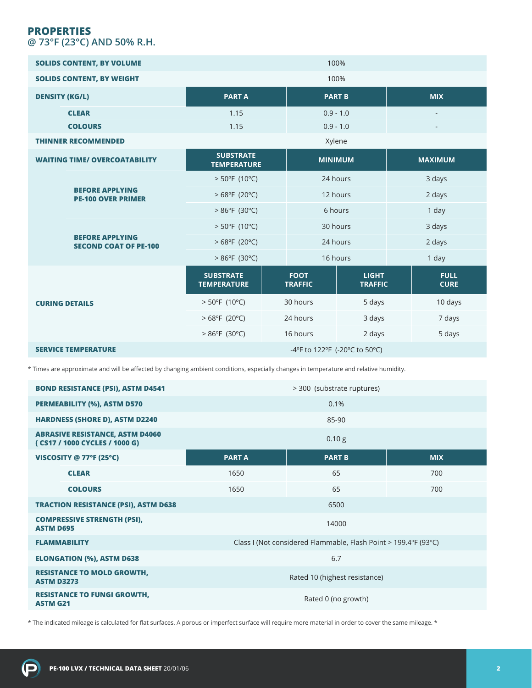## **PROPERTIES @ 73°F (23°C) AND 50% R.H.**

| <b>SOLIDS CONTENT, BY VOLUME</b>     |                                                        |                                        |                |                               | 100%                           |            |                            |  |
|--------------------------------------|--------------------------------------------------------|----------------------------------------|----------------|-------------------------------|--------------------------------|------------|----------------------------|--|
| <b>SOLIDS CONTENT, BY WEIGHT</b>     |                                                        | 100%                                   |                |                               |                                |            |                            |  |
| <b>DENSITY (KG/L)</b>                |                                                        | <b>PARTA</b>                           |                | <b>PART B</b>                 |                                | <b>MIX</b> |                            |  |
|                                      | <b>CLEAR</b>                                           | 1.15                                   |                | $0.9 - 1.0$                   |                                |            |                            |  |
|                                      | <b>COLOURS</b>                                         | 1.15                                   |                | $0.9 - 1.0$                   |                                |            |                            |  |
| <b>THINNER RECOMMENDED</b>           |                                                        |                                        | Xylene         |                               |                                |            |                            |  |
| <b>WAITING TIME/ OVERCOATABILITY</b> |                                                        | <b>SUBSTRATE</b><br><b>TEMPERATURE</b> | <b>MINIMUM</b> |                               | <b>MAXIMUM</b>                 |            |                            |  |
|                                      |                                                        | $>$ 50°F (10°C)                        |                | 24 hours                      |                                | 3 days     |                            |  |
|                                      | <b>BEFORE APPLYING</b><br><b>PE-100 OVER PRIMER</b>    | $>68^{\circ}F(20^{\circ}C)$            |                | 12 hours                      |                                | 2 days     |                            |  |
|                                      |                                                        | $>86^{\circ}F(30^{\circ}C)$            |                | 6 hours                       |                                | 1 day      |                            |  |
|                                      | <b>BEFORE APPLYING</b><br><b>SECOND COAT OF PE-100</b> | $> 50^{\circ}F(10^{\circ}C)$           |                | 30 hours                      |                                |            | 3 days                     |  |
|                                      |                                                        | $>68^{\circ}F(20^{\circ}C)$            |                | 24 hours                      |                                | 2 days     |                            |  |
|                                      |                                                        | $>86^{\circ}F(30^{\circ}C)$            |                | 16 hours                      |                                | 1 day      |                            |  |
| <b>CURING DETAILS</b>                |                                                        | <b>SUBSTRATE</b><br><b>TEMPERATURE</b> |                | <b>FOOT</b><br><b>TRAFFIC</b> | <b>LIGHT</b><br><b>TRAFFIC</b> |            | <b>FULL</b><br><b>CURE</b> |  |
|                                      |                                                        | $> 50^{\circ}F(10^{\circ}C)$           |                | 30 hours                      | 5 days                         |            | 10 days                    |  |
|                                      |                                                        | $>68^{\circ}F(20^{\circ}C)$            |                | 24 hours                      | 3 days                         |            | 7 days                     |  |
|                                      |                                                        | $>86^{\circ}F(30^{\circ}C)$            | 16 hours       |                               | 2 days                         |            | 5 days                     |  |
|                                      | <b>SERVICE TEMPERATURE</b>                             | -4°F to 122°F (-20°C to 50°C)          |                |                               |                                |            |                            |  |

\* Times are approximate and will be affected by changing ambient conditions, especially changes in temperature and relative humidity.

| <b>BOND RESISTANCE (PSI), ASTM D4541</b>                                | > 300 (substrate ruptures)                                      |               |            |  |  |  |
|-------------------------------------------------------------------------|-----------------------------------------------------------------|---------------|------------|--|--|--|
| <b>PERMEABILITY (%), ASTM D570</b>                                      | 0.1%                                                            |               |            |  |  |  |
| <b>HARDNESS (SHORE D), ASTM D2240</b>                                   | 85-90                                                           |               |            |  |  |  |
| <b>ABRASIVE RESISTANCE, ASTM D4060</b><br>(CS17 / 1000 CYCLES / 1000 G) | 0.10 g                                                          |               |            |  |  |  |
| VISCOSITY @ 77°F (25°C)                                                 | <b>PARTA</b>                                                    | <b>PART B</b> | <b>MIX</b> |  |  |  |
| <b>CLEAR</b>                                                            | 1650                                                            | 65            | 700        |  |  |  |
| <b>COLOURS</b>                                                          | 1650                                                            | 65            | 700        |  |  |  |
| <b>TRACTION RESISTANCE (PSI), ASTM D638</b>                             | 6500                                                            |               |            |  |  |  |
| <b>COMPRESSIVE STRENGTH (PSI),</b><br><b>ASTM D695</b>                  | 14000                                                           |               |            |  |  |  |
| <b>FLAMMABILITY</b>                                                     | Class I (Not considered Flammable, Flash Point > 199.4°F (93°C) |               |            |  |  |  |
| <b>ELONGATION (%), ASTM D638</b>                                        | 6.7                                                             |               |            |  |  |  |
| <b>RESISTANCE TO MOLD GROWTH,</b><br><b>ASTM D3273</b>                  | Rated 10 (highest resistance)                                   |               |            |  |  |  |
| <b>RESISTANCE TO FUNGI GROWTH,</b><br><b>ASTM G21</b>                   | Rated 0 (no growth)                                             |               |            |  |  |  |

\* The indicated mileage is calculated for flat surfaces. A porous or imperfect surface will require more material in order to cover the same mileage. \*

 $\left( \mathbf{p}\right)$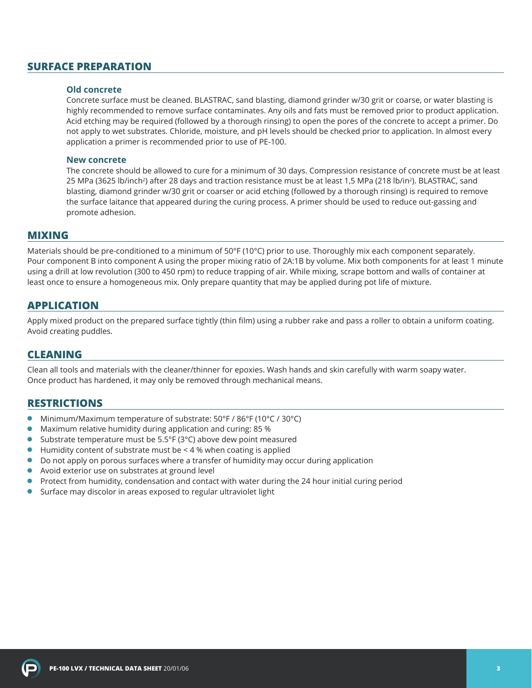## **SURFACE PREPARATION**

#### **Old concrete**

Concrete surface must be cleaned. BLASTRAC, sand blasting, diamond grinder w/30 grit or coarse, or water blasting is highly recommended to remove surface contaminates. Any oils and fats must be removed prior to product application. Acid etching may be required (followed by a thorough rinsing) to open the pores of the concrete to accept a primer. Do not apply to wet substrates. Chloride, moisture, and pH levels should be checked prior to application. In almost every application a primer is recommended prior to use of PE-100.

#### **New concrete**

The concrete should be allowed to cure for a minimum of 30 days. Compression resistance of concrete must be at least 25 MPa (3625 lb/inch<sup>2</sup>) after 28 days and traction resistance must be at least 1,5 MPa (218 lb/in<sup>2</sup>). BLASTRAC, sand blasting, diamond grinder w/30 grit or coarser or acid etching (followed by a thorough rinsing) is required to remove the surface laitance that appeared during the curing process. A primer should be used to reduce out-gassing and promote adhesion.

#### **MIXING**

Materials should be pre-conditioned to a minimum of 50°F (10°C) prior to use. Thoroughly mix each component separately. Pour component B into component A using the proper mixing ratio of 2A:1B by volume. Mix both components for at least 1 minute using a drill at low revolution (300 to 450 rpm) to reduce trapping of air. While mixing, scrape bottom and walls of container at least once to ensure a homogeneous mix. Only prepare quantity that may be applied during pot life of mixture.

### **APPLICATION**

Apply mixed product on the prepared surface tightly (thin film) using a rubber rake and pass a roller to obtain a uniform coating. Avoid creating puddles.

#### **CLEANING**

Clean all tools and materials with the cleaner/thinner for epoxies. Wash hands and skin carefully with warm soapy water. Once product has hardened, it may only be removed through mechanical means.

## **RESTRICTIONS**

- $\bullet$ Minimum/Maximum temperature of substrate: 50°F / 86°F (10°C / 30°C)
- $\bullet$ Maximum relative humidity during application and curing: 85 %
- Substrate temperature must be 5.5°F (3°C) above dew point measured  $\bullet$
- $\bullet$ Humidity content of substrate must be < 4 % when coating is applied
- Do not apply on porous surfaces where a transfer of humidity may occur during application
- Avoid exterior use on substrates at ground level
- **•** Protect from humidity, condensation and contact with water during the 24 hour initial curing period
- Surface may discolor in areas exposed to regular ultraviolet light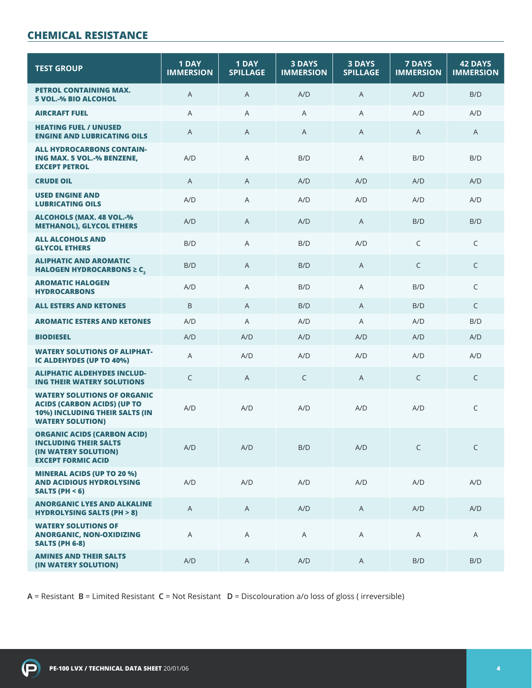# **CHEMICAL RESISTANCE**

| <b>TEST GROUP</b>                                                                                                                     | 1 DAY<br><b>IMMERSION</b> | 1 DAY<br><b>SPILLAGE</b> | <b>3 DAYS</b><br><b>3 DAYS</b><br><b>IMMERSION</b><br><b>SPILLAGE</b> |              | <b>7 DAYS</b><br><b>IMMERSION</b> | <b>42 DAYS</b><br><b>IMMERSION</b> |
|---------------------------------------------------------------------------------------------------------------------------------------|---------------------------|--------------------------|-----------------------------------------------------------------------|--------------|-----------------------------------|------------------------------------|
| PETROL CONTAINING MAX.<br><b>5 VOL.-% BIO ALCOHOL</b>                                                                                 | A                         | A                        | A/D                                                                   | A            | A/D                               | B/D                                |
| <b>AIRCRAFT FUEL</b>                                                                                                                  | A                         | A                        | A                                                                     | A            | A/D                               | A/D                                |
| <b>HEATING FUEL / UNUSED</b><br><b>ENGINE AND LUBRICATING OILS</b>                                                                    | A                         | A                        | A                                                                     | A            | A                                 | A                                  |
| <b>ALL HYDROCARBONS CONTAIN-</b><br>ING MAX. 5 VOL.-% BENZENE,<br><b>EXCEPT PETROL</b>                                                | A/D                       | A                        | B/D                                                                   | A            | B/D                               | B/D                                |
| <b>CRUDE OIL</b>                                                                                                                      | A                         | A                        | A/D                                                                   | A/D          | A/D                               | A/D                                |
| <b>USED ENGINE AND</b><br><b>LUBRICATING OILS</b>                                                                                     | A/D                       | A                        | A/D                                                                   | A/D          | A/D                               | A/D                                |
| <b>ALCOHOLS (MAX. 48 VOL.-%</b><br><b>METHANOL), GLYCOL ETHERS</b>                                                                    | A/D                       | A                        | A/D                                                                   | B/D<br>A     |                                   | B/D                                |
| <b>ALL ALCOHOLS AND</b><br><b>GLYCOL ETHERS</b>                                                                                       | B/D                       | A                        | B/D                                                                   | A/D          | C                                 | C                                  |
| <b>ALIPHATIC AND AROMATIC</b><br>HALOGEN HYDROCARBONS $\geq$ C,                                                                       | B/D                       | A                        | B/D                                                                   | A            | $\mathsf{C}$                      | $\mathsf C$                        |
| <b>AROMATIC HALOGEN</b><br><b>HYDROCARBONS</b>                                                                                        | A/D                       | A                        | B/D                                                                   | A            | B/D                               | C                                  |
| <b>ALL ESTERS AND KETONES</b>                                                                                                         | B                         | $\mathsf{A}$             | B/D                                                                   | A            | B/D                               | $\mathsf{C}$                       |
| <b>AROMATIC ESTERS AND KETONES</b>                                                                                                    | A/D                       | A                        | A/D                                                                   | A            | A/D                               | B/D                                |
| <b>BIODIESEL</b>                                                                                                                      | A/D                       | A/D                      | A/D                                                                   | A/D          | A/D                               | A/D                                |
| <b>WATERY SOLUTIONS OF ALIPHAT-</b><br>IC ALDEHYDES (UP TO 40%)                                                                       | Α                         | A/D                      | A/D                                                                   | A/D          | A/D                               | A/D                                |
| <b>ALIPHATIC ALDEHYDES INCLUD-</b><br><b>ING THEIR WATERY SOLUTIONS</b>                                                               | C                         | A                        | C                                                                     | A            | C                                 | C                                  |
| <b>WATERY SOLUTIONS OF ORGANIC</b><br><b>ACIDS (CARBON ACIDS) (UP TO</b><br>10%) INCLUDING THEIR SALTS (IN<br><b>WATERY SOLUTION)</b> | A/D                       | A/D                      | A/D                                                                   | A/D          | A/D                               | $\mathsf C$                        |
| <b>ORGANIC ACIDS (CARBON ACID)</b><br><b>INCLUDING THEIR SALTS</b><br>(IN WATERY SOLUTION)<br><b>EXCEPT FORMIC ACID</b>               | A/D                       | A/D                      | B/D                                                                   | A/D          | $\mathsf{C}$                      | C                                  |
| <b>MINERAL ACIDS (UP TO 20 %)</b><br><b>AND ACIDIOUS HYDROLYSING</b><br>SALTS (PH $<$ 6)                                              | A/D                       | A/D                      | A/D                                                                   | A/D          | A/D                               | A/D                                |
| <b>ANORGANIC LYES AND ALKALINE</b><br><b>HYDROLYSING SALTS (PH &gt; 8)</b>                                                            | $\mathsf{A}$              | $\mathsf{A}$             | A/D                                                                   | $\mathsf{A}$ | A/D                               | A/D                                |
| <b>WATERY SOLUTIONS OF</b><br><b>ANORGANIC, NON-OXIDIZING</b><br><b>SALTS (PH 6-8)</b>                                                | A                         | A                        | A                                                                     | A            | A                                 |                                    |
| <b>AMINES AND THEIR SALTS</b><br>(IN WATERY SOLUTION)                                                                                 | A/D                       | A                        | A/D                                                                   | $\mathsf{A}$ | B/D                               | B/D                                |

**A** = Resistant **B** = Limited Resistant **C** = Not Resistant **D** = Discolouration a/o loss of gloss ( irreversible)

 $\left( \bigcirc$